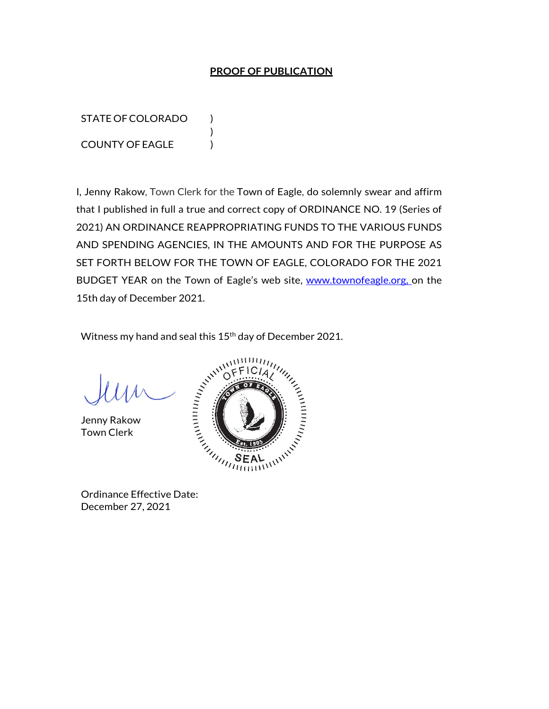## **PROOF OF PUBLICATION**

STATE OF COLORADO ) COUNTY OF EAGLE )

I, Jenny Rakow, Town Clerk for the Town of Eagle, do solemnly swear and affirm that I published in full a true and correct copy of ORDINANCE NO. 19 (Series of 2021) AN ORDINANCE REAPPROPRIATING FUNDS TO THE VARIOUS FUNDS AND SPENDING AGENCIES, IN THE AMOUNTS AND FOR THE PURPOSE AS SET FORTH BELOW FOR THE TOWN OF EAGLE, COLORADO FOR THE 2021 BUDGET YEAR on the Town of Eagle's web site, www.townofeagle.org, on the 15th day of December 2021.

Witness my hand and seal this 15<sup>th</sup> day of December 2021.

)

Jenny Rakow Town Clerk



December 27, 2021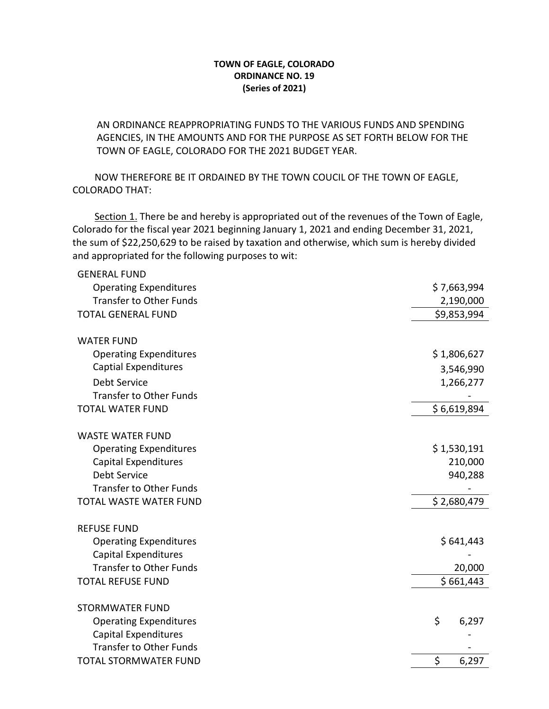## **TOWN OF EAGLE, COLORADO ORDINANCE NO. 19 (Series of 2021)**

AN ORDINANCE REAPPROPRIATING FUNDS TO THE VARIOUS FUNDS AND SPENDING AGENCIES, IN THE AMOUNTS AND FOR THE PURPOSE AS SET FORTH BELOW FOR THE TOWN OF EAGLE, COLORADO FOR THE 2021 BUDGET YEAR.

 NOW THEREFORE BE IT ORDAINED BY THE TOWN COUCIL OF THE TOWN OF EAGLE, COLORADO THAT:

Section 1. There be and hereby is appropriated out of the revenues of the Town of Eagle, Colorado for the fiscal year 2021 beginning January 1, 2021 and ending December 31, 2021, the sum of \$22,250,629 to be raised by taxation and otherwise, which sum is hereby divided and appropriated for the following purposes to wit:

| <b>GENERAL FUND</b>            |             |
|--------------------------------|-------------|
| <b>Operating Expenditures</b>  | \$7,663,994 |
| <b>Transfer to Other Funds</b> | 2,190,000   |
| <b>TOTAL GENERAL FUND</b>      | \$9,853,994 |
|                                |             |
| <b>WATER FUND</b>              |             |
| <b>Operating Expenditures</b>  | \$1,806,627 |
| <b>Captial Expenditures</b>    | 3,546,990   |
| Debt Service                   | 1,266,277   |
| <b>Transfer to Other Funds</b> |             |
| <b>TOTAL WATER FUND</b>        | \$6,619,894 |
|                                |             |
| <b>WASTE WATER FUND</b>        |             |
| <b>Operating Expenditures</b>  | \$1,530,191 |
| <b>Capital Expenditures</b>    | 210,000     |
| <b>Debt Service</b>            | 940,288     |
| <b>Transfer to Other Funds</b> |             |
| <b>TOTAL WASTE WATER FUND</b>  | \$2,680,479 |
| <b>REFUSE FUND</b>             |             |
| <b>Operating Expenditures</b>  | \$641,443   |
| <b>Capital Expenditures</b>    |             |
| <b>Transfer to Other Funds</b> | 20,000      |
| <b>TOTAL REFUSE FUND</b>       | \$661,443   |
|                                |             |
| <b>STORMWATER FUND</b>         |             |
| <b>Operating Expenditures</b>  | \$<br>6,297 |
| <b>Capital Expenditures</b>    |             |
| <b>Transfer to Other Funds</b> |             |
| <b>TOTAL STORMWATER FUND</b>   | \$<br>6,297 |